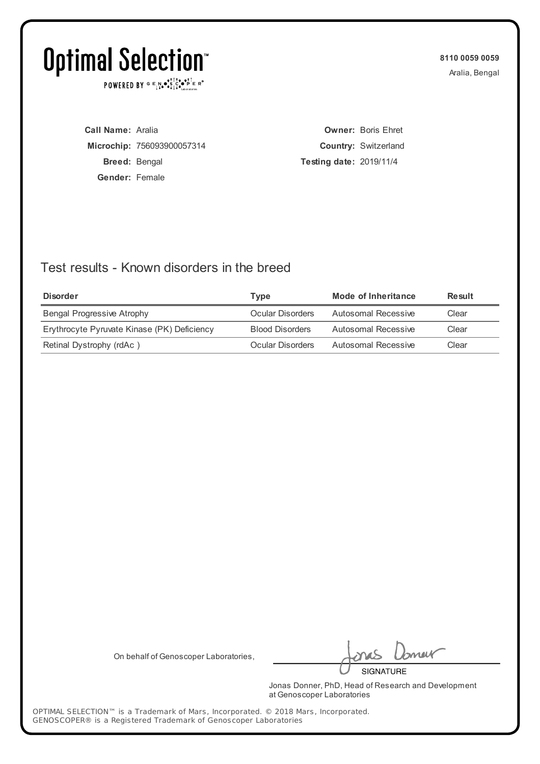POWERED BY  $G \in N_{\bullet} \bullet_{\bullet}^{\dagger} \mathbb{I}_{\bullet}^{\dagger} \bullet_{\mathbf{P}}^{\dagger} \mathbb{E} \mathbb{R}^{\circ}$ 

**8110 0059 0059** Aralia, Bengal

**Call Name:** Aralia **Microchip:** 756093900057314 **Breed:** Bengal **Gender:** Female

**Owner:** Boris Ehret **Country:** Switzerland **Testing date:** 2019/11/4

### Test results - Known disorders in the breed

| <b>Disorder</b>                             | Type                   | Mode of Inheritance | Result |
|---------------------------------------------|------------------------|---------------------|--------|
| <b>Bengal Progressive Atrophy</b>           | Ocular Disorders       | Autosomal Recessive | Clear  |
| Erythrocyte Pyruvate Kinase (PK) Deficiency | <b>Blood Disorders</b> | Autosomal Recessive | Clear  |
| Retinal Dystrophy (rdAc)                    | Ocular Disorders       | Autosomal Recessive | Clear  |

On behalf of Genoscoper Laboratories,

neif **SIGNATURE** 

Jonas Donner, PhD, Head of Research and Development at Genoscoper Laboratories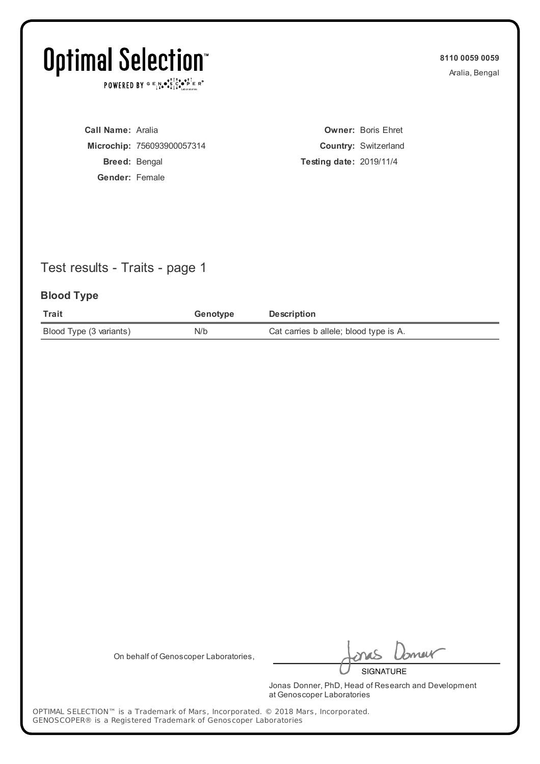POWERED BY  $G \in N_{\bullet} \bullet_{\bullet}^{\dagger} \mathbb{I}_{\bullet}^{\dagger} \bullet_{\mathbf{P}}^{\dagger} \mathbb{E} \mathbb{R}^{\circ}$ 

**8110 0059 0059** Aralia, Bengal

**Call Name:** Aralia **Microchip:** 756093900057314 **Breed:** Bengal **Gender:** Female

**Owner:** Boris Ehret **Country:** Switzerland **Testing date:** 2019/11/4

## Test results - Traits - page 1

#### **Blood Type**

| Trait                   | Genotype | <b>Description</b>                     |
|-------------------------|----------|----------------------------------------|
| Blood Type (3 variants) | N/b      | Cat carries b allele; blood type is A. |

On behalf of Genoscoper Laboratories,

neif **SIGNATURE** 

Jonas Donner, PhD, Head of Research and Development at Genoscoper Laboratories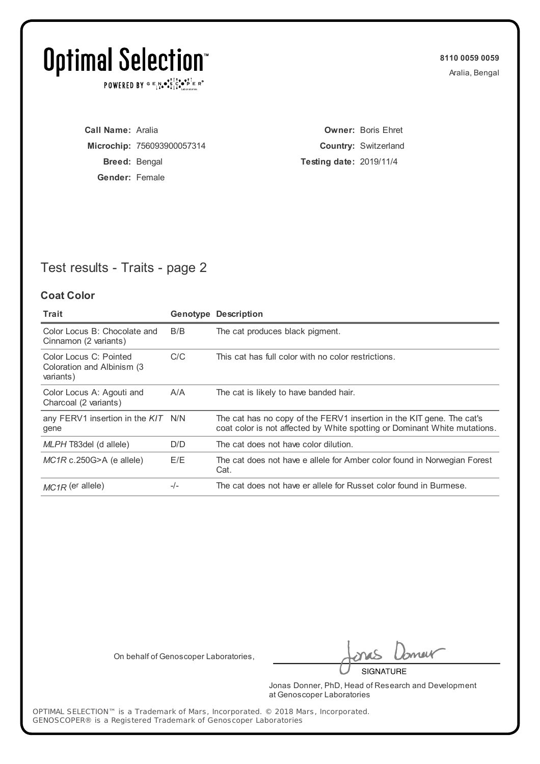POWERED BY  $G \in N_{\bullet} \bullet_{\bullet}^{\dagger} \mathbb{I}_{\bullet}^{\dagger} \bullet_{\mathbf{P}}^{\dagger} \mathbb{E} \mathbb{R}^{\circ}$ 

**8110 0059 0059** Aralia, Bengal

**Call Name:** Aralia **Microchip:** 756093900057314 **Breed:** Bengal **Gender:** Female

**Owner:** Boris Ehret **Country:** Switzerland **Testing date:** 2019/11/4

## Test results - Traits - page 2

#### **Coat Color**

| Trait                                                              |       | <b>Genotype Description</b>                                                                                                                        |
|--------------------------------------------------------------------|-------|----------------------------------------------------------------------------------------------------------------------------------------------------|
| Color Locus B: Chocolate and<br>Cinnamon (2 variants)              | B/B   | The cat produces black pigment.                                                                                                                    |
| Color Locus C: Pointed<br>Coloration and Albinism (3)<br>variants) | C/C   | This cat has full color with no color restrictions.                                                                                                |
| Color Locus A: Agouti and<br>Charcoal (2 variants)                 | A/A   | The cat is likely to have banded hair.                                                                                                             |
| any FERV1 insertion in the KIT N/N<br>gene                         |       | The cat has no copy of the FERV1 insertion in the KIT gene. The cat's<br>coat color is not affected by White spotting or Dominant White mutations. |
| MLPH T83del (d allele)                                             | D/D   | The cat does not have color dilution.                                                                                                              |
| $MC1R$ c.250G>A (e allele)                                         | E/E   | The cat does not have e allele for Amber color found in Norwegian Forest<br>Cat.                                                                   |
| $MC1R$ (er allele)                                                 | $-/-$ | The cat does not have er allele for Russet color found in Burmese.                                                                                 |

On behalf of Genoscoper Laboratories,

neif

**SIGNATURE** 

Jonas Donner, PhD, Head of Research and Development at Genoscoper Laboratories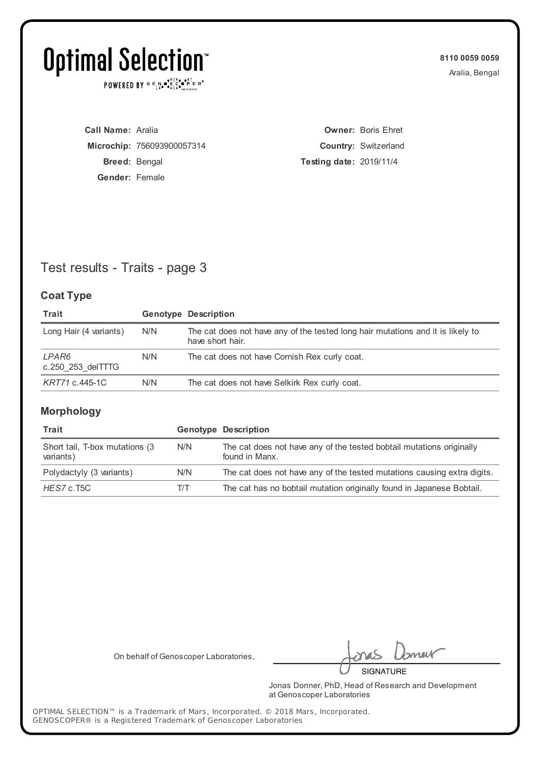POWERED BY  $G \in N_{\bullet} \bullet_{\bullet}^{\dagger} \mathbb{I}_{\bullet}^{\dagger} \bullet_{\mathbf{P}}^{\dagger} \mathbb{E} \mathbb{R}^{\circ}$ 

**8110 0059 0059** Aralia, Bengal

**Call Name:** Aralia **Microchip:** 756093900057314 **Breed:** Bengal **Gender:** Female

**Owner:** Boris Ehret **Country:** Switzerland **Testing date:** 2019/11/4

## Test results - Traits - page 3

#### **Coat Type**

| Trait                           |     | <b>Genotype Description</b>                                                                         |
|---------------------------------|-----|-----------------------------------------------------------------------------------------------------|
| Long Hair (4 variants)          | N/N | The cat does not have any of the tested long hair mutations and it is likely to<br>have short hair. |
| LPAR6<br>$c.250$ 253 del $TTTG$ | N/N | The cat does not have Cornish Rex curly coat.                                                       |
| KRT71 c.445-1C                  | N/N | The cat does not have Selkirk Rex curly coat.                                                       |

#### **Morphology**

| Trait                                        |               | <b>Genotype Description</b>                                                            |
|----------------------------------------------|---------------|----------------------------------------------------------------------------------------|
| Short tail, T-box mutations (3)<br>variants) | N/N           | The cat does not have any of the tested bobtail mutations originally<br>found in Manx. |
| Polydactyly (3 variants)                     | N/N           | The cat does not have any of the tested mutations causing extra digits.                |
| HES7 c.T5C                                   | $\frac{1}{1}$ | The cat has no bobtail mutation originally found in Japanese Bobtail.                  |

On behalf of Genoscoper Laboratories,

meik

**SIGNATURE** 

Jonas Donner, PhD, Head of Research and Development at Genoscoper Laboratories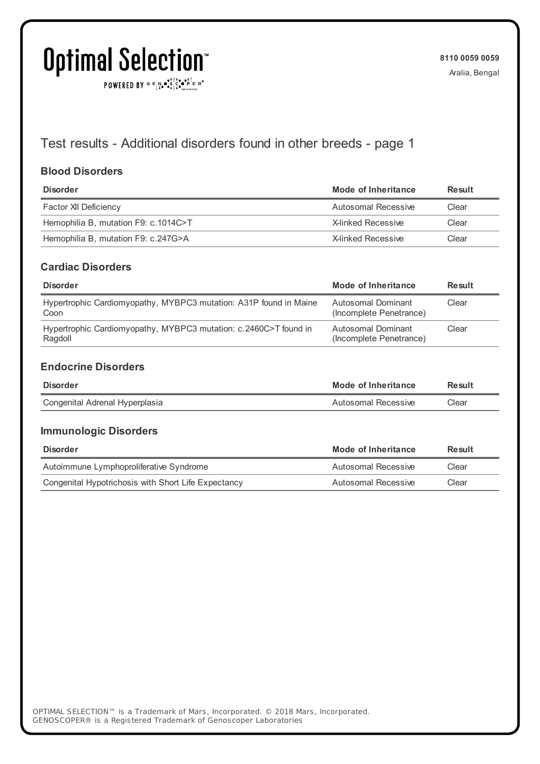# **Optimal Selection**

 $\texttt{POWERED BY} \xrightarrow{\mathbf{c}} \mathbb{I} \underset{\mathbf{a}}{\mathbf{a}} \bullet \underset{\mathbf{a}}{\mathbf{a}} \underset{\mathbf{b}}{\mathbf{a}} \circ \underset{\mathbf{b}}{\mathbf{b}} \overset{\mathbf{c}}{\mathbf{b}} \underset{\mathbf{b}}{\mathbf{b}} \circ \underset{\mathbf{c}}{\mathbf{b}} \overset{\mathbf{c}}{\mathbf{b}} \mathbf{c}} \mathbf{c}^{\circ}$ 

### Test results - Additional disorders found in other breeds - page 1

#### **Blood Disorders**

| <b>Disorder</b>                      | Mode of Inheritance | Result |
|--------------------------------------|---------------------|--------|
| Factor XII Deficiency                | Autosomal Recessive | Clear  |
| Hemophilia B, mutation F9: c.1014C>T | X-linked Recessive  | Clear  |
| Hemophilia B, mutation F9: c.247G>A  | X-linked Recessive  | Clear  |

#### **Cardiac Disorders**

| <b>Disorder</b>                                                             | Mode of Inheritance                           | Result |
|-----------------------------------------------------------------------------|-----------------------------------------------|--------|
| Hypertrophic Cardiomyopathy, MYBPC3 mutation: A31P found in Maine<br>Coon   | Autosomal Dominant<br>(Incomplete Penetrance) | Clear  |
| Hypertrophic Cardiomyopathy, MYBPC3 mutation: c.2460C>T found in<br>Ragdoll | Autosomal Dominant<br>(Incomplete Penetrance) | Clear  |

#### **Endocrine Disorders**

| <b>Disorder</b>                | Mode of Inheritance | Result |
|--------------------------------|---------------------|--------|
| Congenital Adrenal Hyperplasia | Autosomal Recessive | Clear  |

#### **Immunologic Disorders**

| <b>Disorder</b>                                     | Mode of Inheritance | Result |
|-----------------------------------------------------|---------------------|--------|
| Autoimmune Lymphoproliferative Syndrome             | Autosomal Recessive | Clear  |
| Congenital Hypotrichosis with Short Life Expectancy | Autosomal Recessive | Clear  |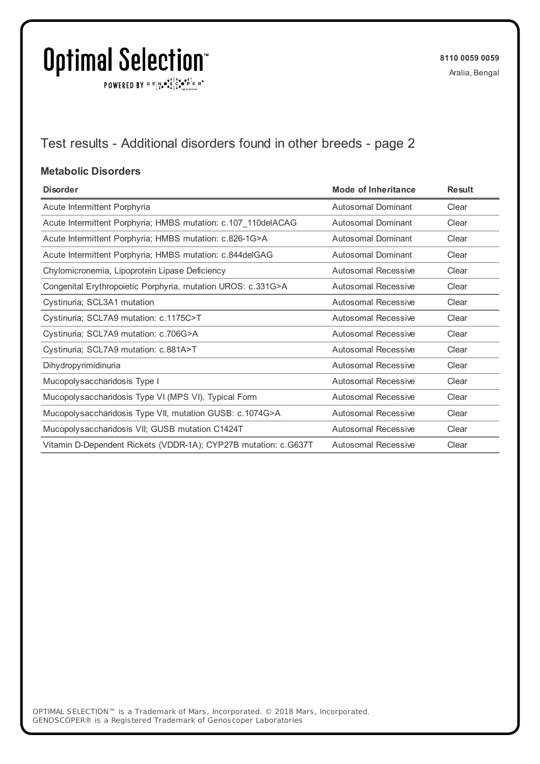$\texttt{POWERED BY} \xrightarrow{\mathbf{c}} \mathbb{I} \underset{\mathbf{a}}{\mathbf{a}} \bullet \underset{\mathbf{a}}{\mathbf{a}} \underset{\mathbf{b}}{\mathbf{a}} \circ \underset{\mathbf{b}}{\mathbf{b}} \overset{\mathbf{c}}{\mathbf{b}} \underset{\mathbf{b}}{\mathbf{b}} \circ \underset{\mathbf{c}}{\mathbf{b}} \overset{\mathbf{c}}{\mathbf{b}} \mathbf{c}} \mathbf{c}^{\circ}$ 

## Test results - Additional disorders found in other breeds - page 2

#### **Metabolic Disorders**

| <b>Disorder</b>                                                 | <b>Mode of Inheritance</b> | <b>Result</b> |
|-----------------------------------------------------------------|----------------------------|---------------|
| Acute Intermittent Porphyria                                    | <b>Autosomal Dominant</b>  | Clear         |
| Acute Intermittent Porphyria; HMBS mutation: c.107_110delACAG   | Autosomal Dominant         | Clear         |
| Acute Intermittent Porphyria; HMBS mutation: c.826-1G>A         | <b>Autosomal Dominant</b>  | Clear         |
| Acute Intermittent Porphyria; HMBS mutation: c.844delGAG        | <b>Autosomal Dominant</b>  | Clear         |
| Chylomicronemia, Lipoprotein Lipase Deficiency                  | Autosomal Recessive        | Clear         |
| Congenital Erythropoietic Porphyria, mutation UROS: c.331G>A    | Autosomal Recessive        | Clear         |
| Cystinuria; SCL3A1 mutation                                     | <b>Autosomal Recessive</b> | Clear         |
| Cystinuria; SCL7A9 mutation: c.1175C>T                          | Autosomal Recessive        | Clear         |
| Cystinuria; SCL7A9 mutation: c.706G>A                           | Autosomal Recessive        | Clear         |
| Cystinuria; SCL7A9 mutation: c.881A>T                           | <b>Autosomal Recessive</b> | Clear         |
| Dihydropyrimidinuria                                            | Autosomal Recessive        | Clear         |
| Mucopolysaccharidosis Type I                                    | Autosomal Recessive        | Clear         |
| Mucopolysaccharidosis Type VI (MPS VI), Typical Form            | <b>Autosomal Recessive</b> | Clear         |
| Mucopolysaccharidosis Type VII, mutation GUSB: c.1074G>A        | <b>Autosomal Recessive</b> | Clear         |
| Mucopolysaccharidosis VII; GUSB mutation C1424T                 | <b>Autosomal Recessive</b> | Clear         |
| Vitamin D-Dependent Rickets (VDDR-1A); CYP27B mutation: c.G637T | <b>Autosomal Recessive</b> | Clear         |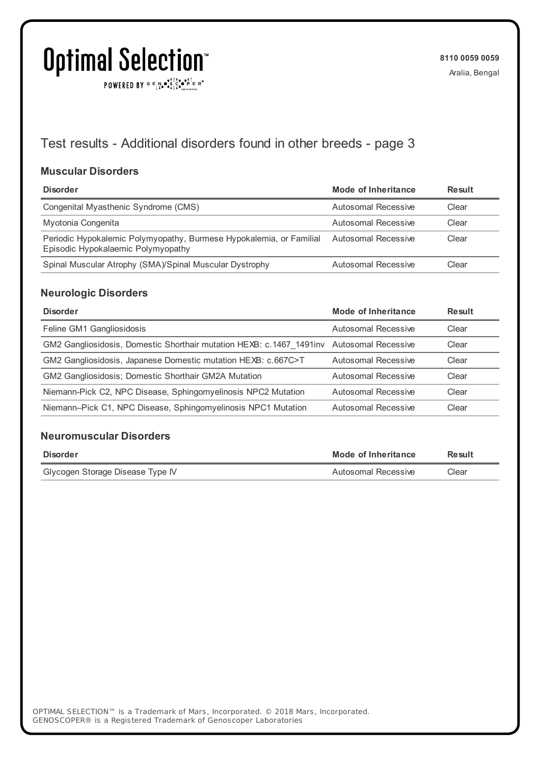$\texttt{POWERED BY} \xrightarrow{\mathbf{c}} \mathbb{I} \underset{\mathbf{a}}{\mathbf{a}} \bullet \underset{\mathbf{a}}{\mathbf{a}} \underset{\mathbf{b}}{\mathbf{a}} \circ \underset{\mathbf{b}}{\mathbf{b}} \overset{\mathbf{c}}{\mathbf{b}} \underset{\mathbf{b}}{\mathbf{b}} \circ \underset{\mathbf{c}}{\mathbf{b}} \overset{\mathbf{c}}{\mathbf{b}} \mathbf{c}} \mathbf{c}^{\circ}$ 

## Test results - Additional disorders found in other breeds - page 3

#### **Muscular Disorders**

| <b>Disorder</b>                                                                                           | Mode of Inheritance | <b>Result</b> |
|-----------------------------------------------------------------------------------------------------------|---------------------|---------------|
| Congenital Myasthenic Syndrome (CMS)                                                                      | Autosomal Recessive | Clear         |
| Myotonia Congenita                                                                                        | Autosomal Recessive | Clear         |
| Periodic Hypokalemic Polymyopathy, Burmese Hypokalemia, or Familial<br>Episodic Hypokalaemic Polymyopathy | Autosomal Recessive | Clear         |
| Spinal Muscular Atrophy (SMA)/Spinal Muscular Dystrophy                                                   | Autosomal Recessive | Clear         |

#### **Neurologic Disorders**

| <b>Disorder</b>                                                                           | <b>Mode of Inheritance</b> | Result |
|-------------------------------------------------------------------------------------------|----------------------------|--------|
| Feline GM1 Gangliosidosis                                                                 | Autosomal Recessive        | Clear  |
| GM2 Gangliosidosis, Domestic Shorthair mutation HEXB: c.1467 1491 inv Autosomal Recessive |                            | Clear  |
| GM2 Gangliosidosis, Japanese Domestic mutation HEXB: c.667C>T                             | Autosomal Recessive        | Clear  |
| <b>GM2 Gangliosidosis; Domestic Shorthair GM2A Mutation</b>                               | Autosomal Recessive        | Clear  |
| Niemann-Pick C2, NPC Disease, Sphingomyelinosis NPC2 Mutation                             | <b>Autosomal Recessive</b> | Clear  |
| Niemann-Pick C1, NPC Disease, Sphingomyelinosis NPC1 Mutation                             | Autosomal Recessive        | Clear  |

#### **Neuromuscular Disorders**

| Disorder                         | Mode of Inheritance | Result |
|----------------------------------|---------------------|--------|
| Glycogen Storage Disease Type IV | Autosomal Recessive | Clear  |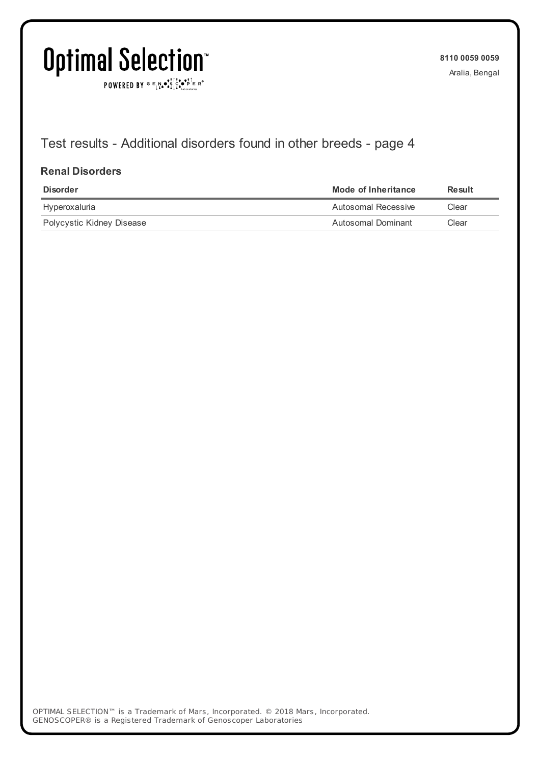$\texttt{POWERED BY} \xrightarrow{\mathbf{c}} \mathbb{I} \underset{\mathbf{a}}{\mathbf{a}} \bullet \underset{\mathbf{a}}{\mathbf{a}} \underset{\mathbf{b}}{\mathbf{a}} \circ \underset{\mathbf{b}}{\mathbf{b}} \overset{\mathbf{c}}{\mathbf{b}} \underset{\mathbf{b}}{\mathbf{b}} \circ \underset{\mathbf{c}}{\mathbf{b}} \overset{\mathbf{c}}{\mathbf{b}} \mathbf{c}} \mathbf{c}^{\circ}$ 

**8110 0059 0059** Aralia, Bengal

## Test results - Additional disorders found in other breeds - page 4

#### **Renal Disorders**

| <b>Disorder</b>           | Mode of Inheritance | <b>Result</b> |
|---------------------------|---------------------|---------------|
| Hyperoxaluria             | Autosomal Recessive | Clear         |
| Polycystic Kidney Disease | Autosomal Dominant  | Clear         |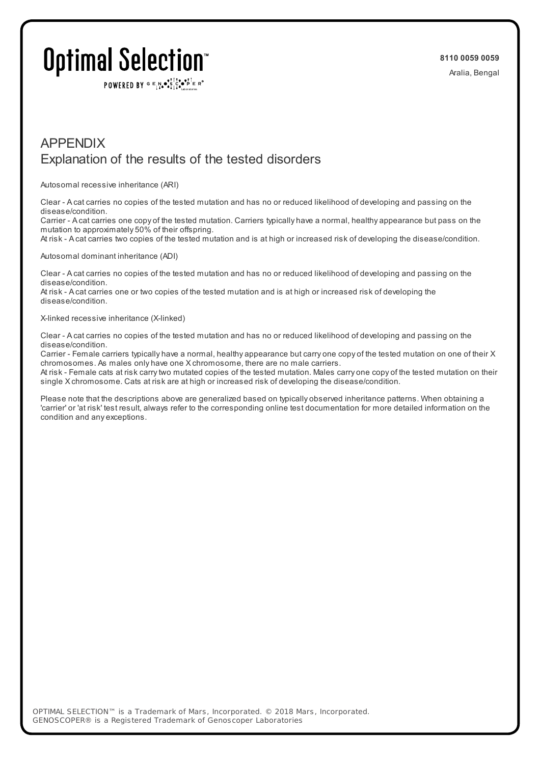## Optimal Selection

POWERED BY  $G \in N$ .  $\mathbb{R}$ ,  $\mathbb{R}$ ,  $\mathbb{R}$ ,  $\mathbb{R}$   $\mathbb{R}$  is  $\mathbb{R}$ 

### APPENDIX Explanation of the results of the tested disorders

Autosomal recessive inheritance (ARI)

Clear - A cat carries no copies of the tested mutation and has no or reduced likelihood of developing and passing on the disease/condition.

Carrier - A cat carries one copy of the tested mutation. Carriers typically have a normal, healthy appearance but pass on the mutation to approximately 50% of their offspring.

At risk - A cat carries two copies of the tested mutation and is at high or increased risk of developing the disease/condition.

Autosomal dominant inheritance (ADI)

Clear - A cat carries no copies of the tested mutation and has no or reduced likelihood of developing and passing on the disease/condition.

At risk - A cat carries one or two copies of the tested mutation and is at high or increased risk of developing the disease/condition.

X-linked recessive inheritance (X-linked)

Clear - A cat carries no copies of the tested mutation and has no or reduced likelihood of developing and passing on the disease/condition.

Carrier - Female carriers typically have a normal, healthy appearance but carry one copy of the tested mutation on one of their X chromosomes. As males only have one X chromosome, there are no male carriers.

At risk - Female cats at risk carrytwo mutated copies of the tested mutation. Males carry one copy of the tested mutation on their single X chromosome. Cats at risk are at high or increased risk of developing the disease/condition.

Please note that the descriptions above are generalized based on typically observed inheritance patterns. When obtaining a 'carrier' or 'at risk' test result, always refer to the corresponding online test documentation for more detailed information on the condition and any exceptions.